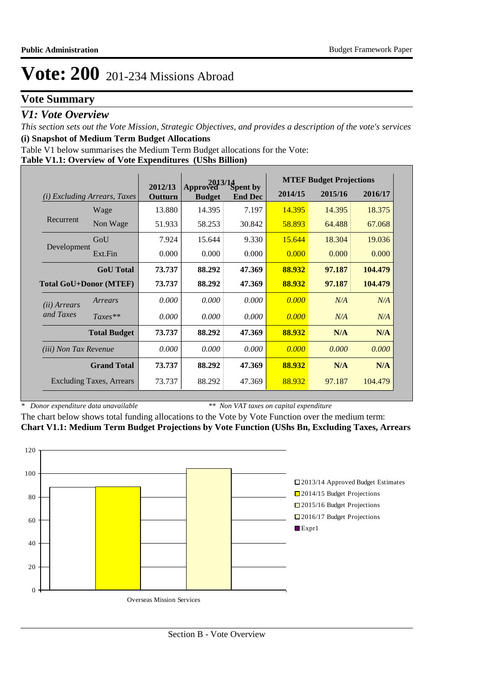# **Vote Summary**

## *V1: Vote Overview*

*This section sets out the Vote Mission, Strategic Objectives, and provides a description of the vote's services* **(i) Snapshot of Medium Term Budget Allocations** 

Table V1 below summarises the Medium Term Budget allocations for the Vote:

### **Table V1.1: Overview of Vote Expenditures (UShs Billion)**

|                              |                                 |                    | 2013/14                   |                            |         | <b>MTEF Budget Projections</b> |         |  |  |
|------------------------------|---------------------------------|--------------------|---------------------------|----------------------------|---------|--------------------------------|---------|--|--|
| (i)                          | <i>Excluding Arrears, Taxes</i> | 2012/13<br>Outturn | Approved<br><b>Budget</b> | Spent by<br><b>End Dec</b> | 2014/15 | 2015/16                        | 2016/17 |  |  |
|                              | Wage                            | 13.880             | 14.395                    | 7.197                      | 14.395  | 14.395                         | 18.375  |  |  |
| Recurrent                    | Non Wage                        | 51.933             | 58.253                    | 30.842                     | 58.893  | 64.488                         | 67.068  |  |  |
|                              | GoU                             | 7.924              | 15.644                    | 9.330                      | 15.644  | 18.304                         | 19.036  |  |  |
| Development                  | Ext.Fin                         | 0.000              | 0.000                     | 0.000                      | 0.000   | 0.000                          | 0.000   |  |  |
|                              | <b>GoU</b> Total                | 73.737             | 88.292                    | 47.369                     | 88.932  | 97.187                         | 104.479 |  |  |
|                              | <b>Total GoU+Donor (MTEF)</b>   | 73.737             | 88.292                    | 47.369                     | 88.932  | 97.187                         | 104.479 |  |  |
| ( <i>ii</i> ) Arrears        | Arrears                         | 0.000              | 0.000                     | 0.000                      | 0.000   | N/A                            | N/A     |  |  |
| and Taxes                    | $Taxes**$                       | 0.000              | 0.000                     | 0.000                      | 0.000   | N/A                            | N/A     |  |  |
|                              | <b>Total Budget</b>             | 73.737             | 88.292                    | 47.369                     | 88.932  | N/A                            | N/A     |  |  |
| <i>(iii)</i> Non Tax Revenue |                                 | 0.000              | 0.000                     | 0.000                      | 0.000   | 0.000                          | 0.000   |  |  |
|                              | <b>Grand Total</b>              | 73.737             | 88.292                    | 47.369                     | 88.932  | N/A                            | N/A     |  |  |
|                              | <b>Excluding Taxes, Arrears</b> | 73.737             | 88.292                    | 47.369                     | 88.932  | 97.187                         | 104,479 |  |  |

*\* Donor expenditure data unavailable*

*\*\* Non VAT taxes on capital expenditure*

The chart below shows total funding allocations to the Vote by Vote Function over the medium term: **Chart V1.1: Medium Term Budget Projections by Vote Function (UShs Bn, Excluding Taxes, Arrears**

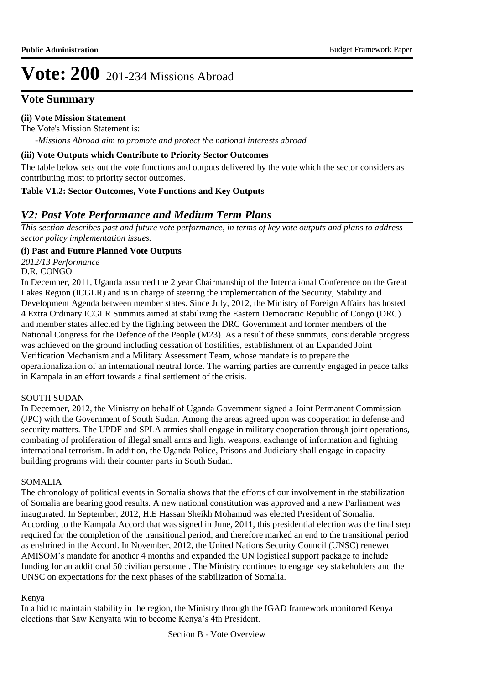# **Vote Summary**

## **(ii) Vote Mission Statement**

*-Missions Abroad aim to promote and protect the national interests abroad* The Vote's Mission Statement is:

### **(iii) Vote Outputs which Contribute to Priority Sector Outcomes**

The table below sets out the vote functions and outputs delivered by the vote which the sector considers as contributing most to priority sector outcomes.

## **Table V1.2: Sector Outcomes, Vote Functions and Key Outputs**

# *V2: Past Vote Performance and Medium Term Plans*

*This section describes past and future vote performance, in terms of key vote outputs and plans to address sector policy implementation issues.* 

## **(i) Past and Future Planned Vote Outputs**

*2012/13 Performance*

D.R. CONGO

In December, 2011, Uganda assumed the 2 year Chairmanship of the International Conference on the Great Lakes Region (ICGLR) and is in charge of steering the implementation of the Security, Stability and Development Agenda between member states. Since July, 2012, the Ministry of Foreign Affairs has hosted 4 Extra Ordinary ICGLR Summits aimed at stabilizing the Eastern Democratic Republic of Congo (DRC) and member states affected by the fighting between the DRC Government and former members of the National Congress for the Defence of the People (M23). As a result of these summits, considerable progress was achieved on the ground including cessation of hostilities, establishment of an Expanded Joint Verification Mechanism and a Military Assessment Team, whose mandate is to prepare the operationalization of an international neutral force. The warring parties are currently engaged in peace talks in Kampala in an effort towards a final settlement of the crisis.

## SOUTH SUDAN

In December, 2012, the Ministry on behalf of Uganda Government signed a Joint Permanent Commission (JPC) with the Government of South Sudan. Among the areas agreed upon was cooperation in defense and security matters. The UPDF and SPLA armies shall engage in military cooperation through joint operations, combating of proliferation of illegal small arms and light weapons, exchange of information and fighting international terrorism. In addition, the Uganda Police, Prisons and Judiciary shall engage in capacity building programs with their counter parts in South Sudan.

## SOMALIA

The chronology of political events in Somalia shows that the efforts of our involvement in the stabilization of Somalia are bearing good results. A new national constitution was approved and a new Parliament was inaugurated. In September, 2012, H.E Hassan Sheikh Mohamud was elected President of Somalia. According to the Kampala Accord that was signed in June, 2011, this presidential election was the final step required for the completion of the transitional period, and therefore marked an end to the transitional period as enshrined in the Accord. In November, 2012, the United Nations Security Council (UNSC) renewed AMISOM's mandate for another 4 months and expanded the UN logistical support package to include funding for an additional 50 civilian personnel. The Ministry continues to engage key stakeholders and the UNSC on expectations for the next phases of the stabilization of Somalia.

## Kenya

In a bid to maintain stability in the region, the Ministry through the IGAD framework monitored Kenya elections that Saw Kenyatta win to become Kenya's 4th President.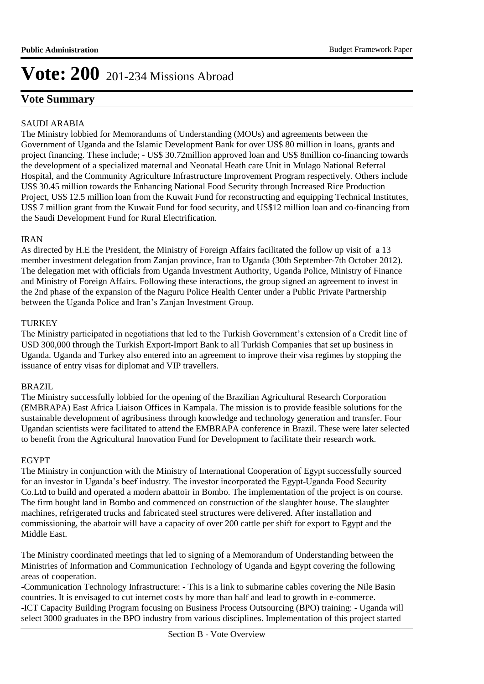# **Vote Summary**

## SAUDI ARABIA

The Ministry lobbied for Memorandums of Understanding (MOUs) and agreements between the Government of Uganda and the Islamic Development Bank for over US\$ 80 million in loans, grants and project financing. These include; - US\$ 30.72million approved loan and US\$ 8million co-financing towards the development of a specialized maternal and Neonatal Heath care Unit in Mulago National Referral Hospital, and the Community Agriculture Infrastructure Improvement Program respectively. Others include US\$ 30.45 million towards the Enhancing National Food Security through Increased Rice Production Project, US\$ 12.5 million loan from the Kuwait Fund for reconstructing and equipping Technical Institutes, US\$ 7 million grant from the Kuwait Fund for food security, and US\$12 million loan and co-financing from the Saudi Development Fund for Rural Electrification.

## IRAN

As directed by H.E the President, the Ministry of Foreign Affairs facilitated the follow up visit of a 13 member investment delegation from Zanjan province, Iran to Uganda (30th September-7th October 2012). The delegation met with officials from Uganda Investment Authority, Uganda Police, Ministry of Finance and Ministry of Foreign Affairs. Following these interactions, the group signed an agreement to invest in the 2nd phase of the expansion of the Naguru Police Health Center under a Public Private Partnership between the Uganda Police and Iran's Zanjan Investment Group.

## TURKEY

The Ministry participated in negotiations that led to the Turkish Government's extension of a Credit line of USD 300,000 through the Turkish Export-Import Bank to all Turkish Companies that set up business in Uganda. Uganda and Turkey also entered into an agreement to improve their visa regimes by stopping the issuance of entry visas for diplomat and VIP travellers.

## BRAZIL

The Ministry successfully lobbied for the opening of the Brazilian Agricultural Research Corporation (EMBRAPA) East Africa Liaison Offices in Kampala. The mission is to provide feasible solutions for the sustainable development of agribusiness through knowledge and technology generation and transfer. Four Ugandan scientists were facilitated to attend the EMBRAPA conference in Brazil. These were later selected to benefit from the Agricultural Innovation Fund for Development to facilitate their research work.

## EGYPT

The Ministry in conjunction with the Ministry of International Cooperation of Egypt successfully sourced for an investor in Uganda's beef industry. The investor incorporated the Egypt-Uganda Food Security Co.Ltd to build and operated a modern abattoir in Bombo. The implementation of the project is on course. The firm bought land in Bombo and commenced on construction of the slaughter house. The slaughter machines, refrigerated trucks and fabricated steel structures were delivered. After installation and commissioning, the abattoir will have a capacity of over 200 cattle per shift for export to Egypt and the Middle East.

The Ministry coordinated meetings that led to signing of a Memorandum of Understanding between the Ministries of Information and Communication Technology of Uganda and Egypt covering the following areas of cooperation.

-Communication Technology Infrastructure: - This is a link to submarine cables covering the Nile Basin countries. It is envisaged to cut internet costs by more than half and lead to growth in e-commerce. -ICT Capacity Building Program focusing on Business Process Outsourcing (BPO) training: - Uganda will select 3000 graduates in the BPO industry from various disciplines. Implementation of this project started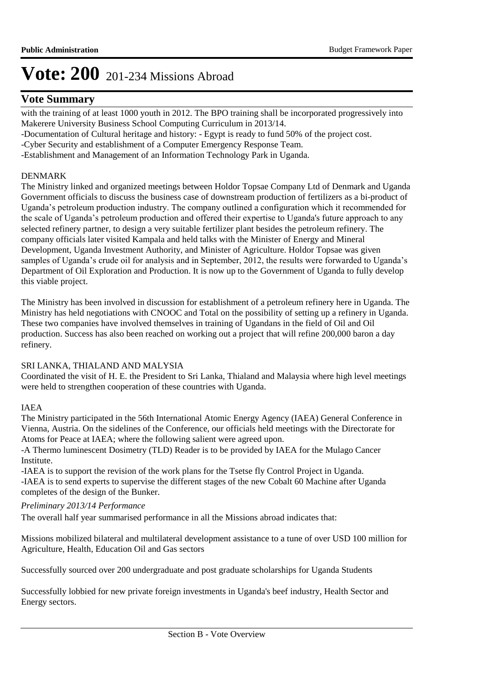# **Vote Summary**

with the training of at least 1000 youth in 2012. The BPO training shall be incorporated progressively into Makerere University Business School Computing Curriculum in 2013/14.

-Documentation of Cultural heritage and history: - Egypt is ready to fund 50% of the project cost.

-Cyber Security and establishment of a Computer Emergency Response Team.

-Establishment and Management of an Information Technology Park in Uganda.

## DENMARK

The Ministry linked and organized meetings between Holdor Topsae Company Ltd of Denmark and Uganda Government officials to discuss the business case of downstream production of fertilizers as a bi-product of Uganda's petroleum production industry. The company outlined a configuration which it recommended for the scale of Uganda's petroleum production and offered their expertise to Uganda's future approach to any selected refinery partner, to design a very suitable fertilizer plant besides the petroleum refinery. The company officials later visited Kampala and held talks with the Minister of Energy and Mineral Development, Uganda Investment Authority, and Minister of Agriculture. Holdor Topsae was given samples of Uganda's crude oil for analysis and in September, 2012, the results were forwarded to Uganda's Department of Oil Exploration and Production. It is now up to the Government of Uganda to fully develop this viable project.

The Ministry has been involved in discussion for establishment of a petroleum refinery here in Uganda. The Ministry has held negotiations with CNOOC and Total on the possibility of setting up a refinery in Uganda. These two companies have involved themselves in training of Ugandans in the field of Oil and Oil production. Success has also been reached on working out a project that will refine 200,000 baron a day refinery.

## SRI LANKA, THIALAND AND MALYSIA

Coordinated the visit of H. E. the President to Sri Lanka, Thialand and Malaysia where high level meetings were held to strengthen cooperation of these countries with Uganda.

## IAEA

The Ministry participated in the 56th International Atomic Energy Agency (IAEA) General Conference in Vienna, Austria. On the sidelines of the Conference, our officials held meetings with the Directorate for Atoms for Peace at IAEA; where the following salient were agreed upon.

-A Thermo luminescent Dosimetry (TLD) Reader is to be provided by IAEA for the Mulago Cancer Institute.

-IAEA is to support the revision of the work plans for the Tsetse fly Control Project in Uganda. -IAEA is to send experts to supervise the different stages of the new Cobalt 60 Machine after Uganda completes of the design of the Bunker.

## *Preliminary 2013/14 Performance*

The overall half year summarised performance in all the Missions abroad indicates that:

Missions mobilized bilateral and multilateral development assistance to a tune of over USD 100 million for Agriculture, Health, Education Oil and Gas sectors

Successfully sourced over 200 undergraduate and post graduate scholarships for Uganda Students

Successfully lobbied for new private foreign investments in Uganda's beef industry, Health Sector and Energy sectors.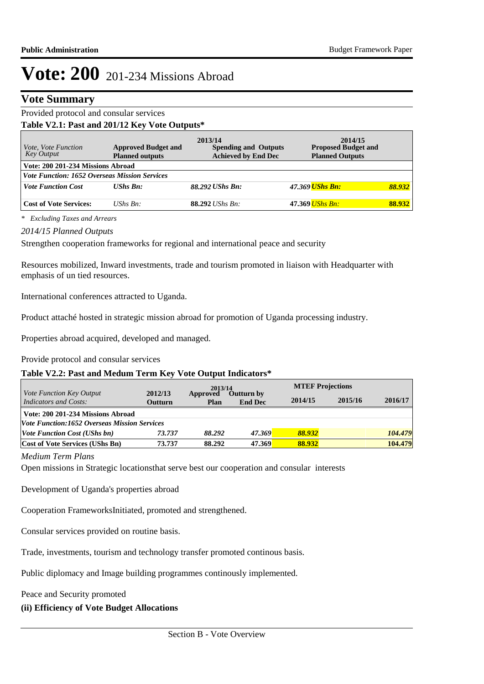## **Vote Summary**

## Provided protocol and consular services **Table V2.1: Past and 201/12 Key Vote Outputs\***

| <i>Vote, Vote Function</i><br>Key Output             | <b>Approved Budget and</b><br><b>Planned outputs</b> | 2013/14<br><b>Spending and Outputs</b><br><b>Achieved by End Dec</b> | 2014/15<br><b>Proposed Budget and</b><br><b>Planned Outputs</b> |        |
|------------------------------------------------------|------------------------------------------------------|----------------------------------------------------------------------|-----------------------------------------------------------------|--------|
| Vote: 200 201-234 Missions Abroad                    |                                                      |                                                                      |                                                                 |        |
| <i>Vote Function: 1652 Overseas Mission Services</i> |                                                      |                                                                      |                                                                 |        |
| <b>Vote Function Cost</b>                            | $UShs$ $Bn$ :                                        | 88.292 UShs Bn:                                                      | 47.369 UShs Bn:                                                 | 88.932 |
| <b>Cost of Vote Services:</b>                        | UShs $Bn$ :                                          | <b>88.292</b> <i>UShs Bn:</i>                                        | 47.369 UShs Bn:                                                 | 88.932 |

*\* Excluding Taxes and Arrears*

#### *2014/15 Planned Outputs*

Strengthen cooperation frameworks for regional and international peace and security

Resources mobilized, Inward investments, trade and tourism promoted in liaison with Headquarter with emphasis of un tied resources.

International conferences attracted to Uganda.

Product attaché hosted in strategic mission abroad for promotion of Uganda processing industry.

Properties abroad acquired, developed and managed.

Provide protocol and consular services

## **Table V2.2: Past and Medum Term Key Vote Output Indicators\***

|                                                                 |                           | 2013/14          |                              | <b>MTEF Projections</b> |         |         |
|-----------------------------------------------------------------|---------------------------|------------------|------------------------------|-------------------------|---------|---------|
| <i>Vote Function Key Output</i><br><b>Indicators and Costs:</b> | 2012/13<br><b>Outturn</b> | Approved<br>Plan | Outturn by<br><b>End Dec</b> | 2014/15                 | 2015/16 | 2016/17 |
| Vote: 200 201-234 Missions Abroad                               |                           |                  |                              |                         |         |         |
| <b>Vote Function:1652 Overseas Mission Services</b>             |                           |                  |                              |                         |         |         |
| <i><b>Vote Function Cost (UShs bn)</b></i>                      | 73.737                    | 88.292           | 47.369                       | 88.932                  |         | 104.479 |
| <b>Cost of Vote Services (UShs Bn)</b>                          | 73.737                    | 88.292           | 47.369                       | 88.932                  |         | 104.479 |

#### *Medium Term Plans*

Open missions in Strategic locationsthat serve best our cooperation and consular interests

Development of Uganda's properties abroad

Cooperation FrameworksInitiated, promoted and strengthened.

Consular services provided on routine basis.

Trade, investments, tourism and technology transfer promoted continous basis.

Public diplomacy and Image building programmes continously implemented.

Peace and Security promoted

## **(ii) Efficiency of Vote Budget Allocations**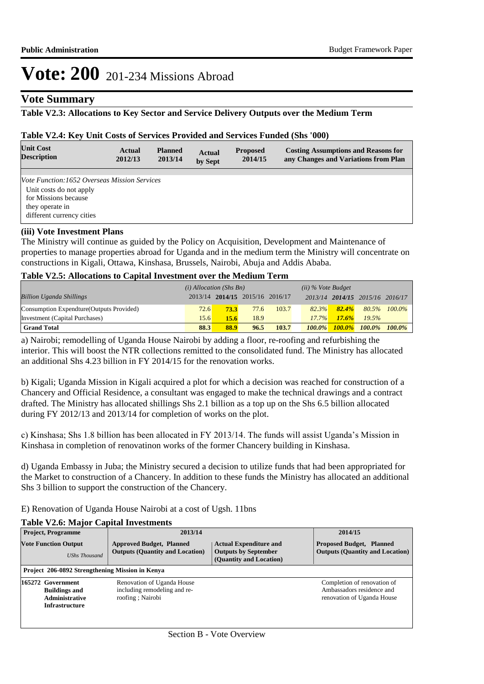## **Vote Summary**

## **Table V2.3: Allocations to Key Sector and Service Delivery Outputs over the Medium Term**

#### **Table V2.4: Key Unit Costs of Services Provided and Services Funded (Shs '000)**

| <b>Unit Cost</b><br><b>Description</b>              | Actual<br>2012/13 | <b>Planned</b><br>2013/14 | <b>Actual</b><br>by Sept | <b>Proposed</b><br>2014/15 | <b>Costing Assumptions and Reasons for</b><br>any Changes and Variations from Plan |
|-----------------------------------------------------|-------------------|---------------------------|--------------------------|----------------------------|------------------------------------------------------------------------------------|
|                                                     |                   |                           |                          |                            |                                                                                    |
| <i>Vote Function:1652 Overseas Mission Services</i> |                   |                           |                          |                            |                                                                                    |
| Unit costs do not apply                             |                   |                           |                          |                            |                                                                                    |
| for Missions because                                |                   |                           |                          |                            |                                                                                    |
| they operate in                                     |                   |                           |                          |                            |                                                                                    |
| different currency cities                           |                   |                           |                          |                            |                                                                                    |
| (11)                                                |                   |                           |                          |                            |                                                                                    |

#### **(iii) Vote Investment Plans**

The Ministry will continue as guided by the Policy on Acquisition, Development and Maintenance of properties to manage properties abroad for Uganda and in the medium term the Ministry will concentrate on constructions in Kigali, Ottawa, Kinshasa, Brussels, Nairobi, Abuja and Addis Ababa.

## **Table V2.5: Allocations to Capital Investment over the Medium Term**

|                                           | $(i)$ Allocation (Shs Bn) |      |                                 | $(ii)$ % Vote Budget |           |           |                                 |              |
|-------------------------------------------|---------------------------|------|---------------------------------|----------------------|-----------|-----------|---------------------------------|--------------|
| <b>Billion Uganda Shillings</b>           |                           |      | 2013/14 2014/15 2015/16 2016/17 |                      |           |           | 2013/14 2014/15 2015/16 2016/17 |              |
| Consumption Expendture (Outputs Provided) | <b>72.6</b>               | 73.3 | 77.6                            | 103.7                | 82.3%     | 82.4%     |                                 | 80.5% 100.0% |
| Investment (Capital Purchases)            | 15.6                      | 15.6 | 18.9                            |                      | $17.7\%$  | 17.6%     | 19.5%                           |              |
| <b>Grand Total</b>                        | 88.3                      | 88.9 | 96.5                            | 103.7                | $100.0\%$ | $100.0\%$ | $100.0\%$ $100.0\%$             |              |

a) Nairobi; remodelling of Uganda House Nairobi by adding a floor, re-roofing and refurbishing the interior. This will boost the NTR collections remitted to the consolidated fund. The Ministry has allocated an additional Shs 4.23 billion in FY 2014/15 for the renovation works.

b) Kigali; Uganda Mission in Kigali acquired a plot for which a decision was reached for construction of a Chancery and Official Residence, a consultant was engaged to make the technical drawings and a contract drafted. The Ministry has allocated shillings Shs 2.1 billion as a top up on the Shs 6.5 billion allocated during FY 2012/13 and 2013/14 for completion of works on the plot.

c) Kinshasa; Shs 1.8 billion has been allocated in FY 2013/14. The funds will assist Uganda's Mission in Kinshasa in completion of renovatinon works of the former Chancery building in Kinshasa.

d) Uganda Embassy in Juba; the Ministry secured a decision to utilize funds that had been appropriated for the Market to construction of a Chancery. In addition to these funds the Ministry has allocated an additional Shs 3 billion to support the construction of the Chancery.

E) Renovation of Uganda House Nairobi at a cost of Ugsh. 11bns

## **Table V2.6: Major Capital Investments**

| <b>Project, Programme</b>                                                                   | 2013/14                                                                        |                                                                                         | 2014/15                                                                                |
|---------------------------------------------------------------------------------------------|--------------------------------------------------------------------------------|-----------------------------------------------------------------------------------------|----------------------------------------------------------------------------------------|
| <b>Vote Function Output</b><br><b>UShs Thousand</b>                                         | <b>Approved Budget, Planned</b><br><b>Outputs (Quantity and Location)</b>      | <b>Actual Expenditure and</b><br><b>Outputs by September</b><br>(Quantity and Location) | <b>Proposed Budget, Planned</b><br><b>Outputs (Quantity and Location)</b>              |
| Project 206-0892 Strengthening Mission in Kenya                                             |                                                                                |                                                                                         |                                                                                        |
| 165272 Government<br><b>Buildings and</b><br><b>Administrative</b><br><b>Infrastructure</b> | Renovation of Uganda House<br>including remodeling and re-<br>roofing; Nairobi |                                                                                         | Completion of renovation of<br>Ambassadors residence and<br>renovation of Uganda House |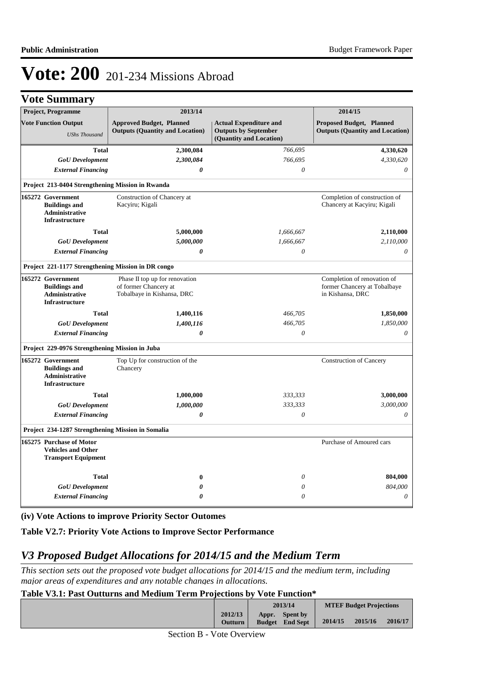|  | <b>Vote Summary</b> |  |
|--|---------------------|--|
|--|---------------------|--|

| Project, Programme                                                                          | 2013/14                                                                               |                                                                                         | 2014/15                                                                         |
|---------------------------------------------------------------------------------------------|---------------------------------------------------------------------------------------|-----------------------------------------------------------------------------------------|---------------------------------------------------------------------------------|
| <b>Vote Function Output</b><br><b>UShs Thousand</b>                                         | <b>Approved Budget, Planned</b><br><b>Outputs (Quantity and Location)</b>             | <b>Actual Expenditure and</b><br><b>Outputs by September</b><br>(Quantity and Location) | <b>Proposed Budget, Planned</b><br><b>Outputs (Quantity and Location)</b>       |
| <b>Total</b>                                                                                | 2,300,084                                                                             | 766,695                                                                                 | 4,330,620                                                                       |
| <b>GoU</b> Development                                                                      | 2,300,084                                                                             | 766,695                                                                                 | 4,330,620                                                                       |
| <b>External Financing</b>                                                                   | 0                                                                                     | $\boldsymbol{\theta}$                                                                   | 0                                                                               |
| Project 213-0404 Strengthening Mission in Rwanda                                            |                                                                                       |                                                                                         |                                                                                 |
| 165272 Government<br><b>Buildings and</b><br><b>Administrative</b><br><b>Infrastructure</b> | Construction of Chancery at<br>Kacyiru; Kigali                                        |                                                                                         | Completion of construction of<br>Chancery at Kacyiru; Kigali                    |
| <b>Total</b>                                                                                | 5,000,000                                                                             | 1,666,667                                                                               | 2,110,000                                                                       |
| <b>GoU</b> Development                                                                      | 5,000,000                                                                             | 1,666,667                                                                               | 2,110,000                                                                       |
| <b>External Financing</b>                                                                   | 0                                                                                     | $\theta$                                                                                | $\theta$                                                                        |
| Project 221-1177 Strengthening Mission in DR congo                                          |                                                                                       |                                                                                         |                                                                                 |
| 165272 Government<br><b>Buildings and</b><br>Administrative<br><b>Infrastructure</b>        | Phase II top up for renovation<br>of former Chancery at<br>Tobalbaye in Kishansa, DRC |                                                                                         | Completion of renovation of<br>former Chancery at Tobalbaye<br>in Kishansa, DRC |
| <b>Total</b>                                                                                | 1,400,116                                                                             | 466,705                                                                                 | 1,850,000                                                                       |
| <b>GoU</b> Development                                                                      | 1,400,116                                                                             | 466,705                                                                                 | 1,850,000                                                                       |
| <b>External Financing</b>                                                                   | $\boldsymbol{\theta}$                                                                 | $\theta$                                                                                | $\theta$                                                                        |
| Project 229-0976 Strengthening Mission in Juba                                              |                                                                                       |                                                                                         |                                                                                 |
| 165272 Government<br><b>Buildings and</b><br>Administrative<br><b>Infrastructure</b>        | Top Up for construction of the<br>Chancery                                            |                                                                                         | <b>Construction of Cancery</b>                                                  |
| <b>Total</b>                                                                                | 1,000,000                                                                             | 333,333                                                                                 | 3,000,000                                                                       |
| <b>GoU</b> Development                                                                      | 1,000,000                                                                             | 333,333                                                                                 | 3,000,000                                                                       |
| <b>External Financing</b>                                                                   | $\boldsymbol{\theta}$                                                                 | $\theta$                                                                                | $\theta$                                                                        |
| Project 234-1287 Strengthening Mission in Somalia                                           |                                                                                       |                                                                                         |                                                                                 |
| 165275 Purchase of Motor<br><b>Vehicles and Other</b><br><b>Transport Equipment</b>         |                                                                                       |                                                                                         | Purchase of Amoured cars                                                        |
| <b>Total</b>                                                                                | $\bf{0}$                                                                              | $\theta$                                                                                | 804,000                                                                         |
| <b>GoU</b> Development                                                                      | 0                                                                                     | $\theta$                                                                                | 804,000                                                                         |
| <b>External Financing</b>                                                                   | $\theta$                                                                              | $\theta$                                                                                | $\boldsymbol{\theta}$                                                           |

**(iv) Vote Actions to improve Priority Sector Outomes**

**Table V2.7: Priority Vote Actions to Improve Sector Performance** 

## *V3 Proposed Budget Allocations for 2014/15 and the Medium Term*

*This section sets out the proposed vote budget allocations for 2014/15 and the medium term, including major areas of expenditures and any notable changes in allocations.* 

**Table V3.1: Past Outturns and Medium Term Projections by Vote Function\***

|                           | 2013/14                                            |         | <b>MTEF Budget Projections</b> |         |
|---------------------------|----------------------------------------------------|---------|--------------------------------|---------|
| 2012/13<br><b>Outturn</b> | <b>Spent by</b><br>Appr.<br><b>Budget</b> End Sept | 2014/15 | 2015/16                        | 2016/17 |

Section B - Vote Overview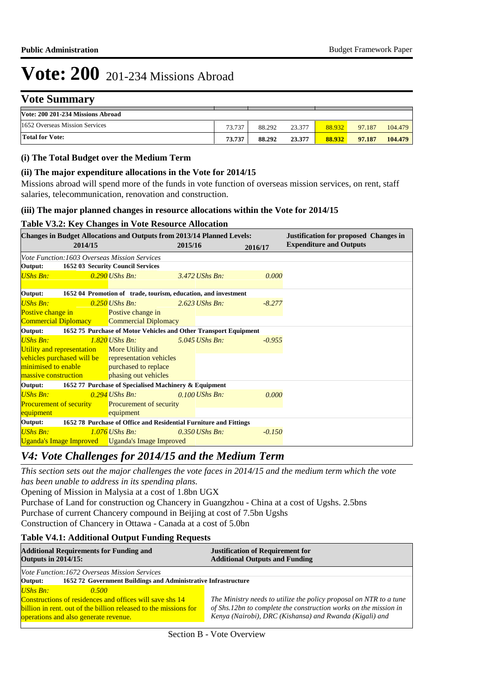# **Vote Summary**

| Vote: 200 201-234 Missions Abroad |        |        |        |        |        |         |
|-----------------------------------|--------|--------|--------|--------|--------|---------|
| 1652 Overseas Mission Services    | 73.737 | 88.292 | 23.377 | 88.932 | 97.187 | 104.479 |
| <b>Total for Vote:</b>            | 73.737 | 88.292 | 23.377 | 88.932 | 97.187 | 104.479 |

**2012/13** 

**Spent by** 

**Appr.** 

### **(i) The Total Budget over the Medium Term**

## **(ii) The major expenditure allocations in the Vote for 2014/15**

Missions abroad will spend more of the funds in vote function of overseas mission services, on rent, staff salaries, telecommunication, renovation and construction.

#### **(iii) The major planned changes in resource allocations within the Vote for 2014/15**

## **Table V3.2: Key Changes in Vote Resource Allocation**

| <b>Changes in Budget Allocations and Outputs from 2013/14 Planned Levels:</b><br>2014/15 |                                                                   | 2015/16 |                  | 2016/17  | <b>Justification for proposed Changes in</b><br><b>Expenditure and Outputs</b> |
|------------------------------------------------------------------------------------------|-------------------------------------------------------------------|---------|------------------|----------|--------------------------------------------------------------------------------|
| Vote Function: 1603 Overseas Mission Services                                            |                                                                   |         |                  |          |                                                                                |
| Output:                                                                                  | 1652 03 Security Council Services                                 |         |                  |          |                                                                                |
| <b>UShs Bn:</b>                                                                          | $0.290$ UShs Bn:                                                  |         | 3.472 UShs Bn:   | 0.000    |                                                                                |
| Output:                                                                                  | 1652 04 Promotion of trade, tourism, education, and investment    |         |                  |          |                                                                                |
| <b>UShs Bn:</b>                                                                          | $0.250$ UShs Bn:                                                  |         | $2.623$ UShs Bn: | $-8.277$ |                                                                                |
| Postive change in                                                                        | Postive change in                                                 |         |                  |          |                                                                                |
| Commercial Diplomacy Commercial Diplomacy                                                |                                                                   |         |                  |          |                                                                                |
| Output:                                                                                  | 1652 75 Purchase of Motor Vehicles and Other Transport Equipment  |         |                  |          |                                                                                |
| <b>UShs Bn:</b>                                                                          | $1.820$ UShs Bn:                                                  |         | $5.045$ UShs Bn: | $-0.955$ |                                                                                |
| Utility and representation More Utility and                                              |                                                                   |         |                  |          |                                                                                |
| vehicles purchased will be representation vehicles                                       |                                                                   |         |                  |          |                                                                                |
| minimised to enable                                                                      | purchased to replace                                              |         |                  |          |                                                                                |
| massive construction                                                                     | phasing out vehicles                                              |         |                  |          |                                                                                |
| Output:                                                                                  | 1652 77 Purchase of Specialised Machinery & Equipment             |         |                  |          |                                                                                |
| <b>UShs Bn:</b>                                                                          | $0.294$ UShs Bn:                                                  |         | $0.100$ UShs Bn: | 0.000    |                                                                                |
| <b>Procurement of security</b>                                                           | <b>Procurement of security</b>                                    |         |                  |          |                                                                                |
| equipment                                                                                | equipment                                                         |         |                  |          |                                                                                |
| Output:                                                                                  | 1652 78 Purchase of Office and Residential Furniture and Fittings |         |                  |          |                                                                                |
| <b>UShs Bn:</b>                                                                          | $1.076$ UShs Bn:                                                  |         | $0.350$ UShs Bn: | $-0.150$ |                                                                                |
| <b>Uganda's Image Improved</b> Uganda's Image Improved                                   |                                                                   |         |                  |          |                                                                                |

## *V4: Vote Challenges for 2014/15 and the Medium Term*

*This section sets out the major challenges the vote faces in 2014/15 and the medium term which the vote has been unable to address in its spending plans.*

Opening of Mission in Malysia at a cost of 1.8bn UGX

Purchase of Land for construction og Chancery in Guangzhou - China at a cost of Ugshs. 2.5bns Purchase of current Chancery compound in Beijing at cost of 7.5bn Ugshs

Construction of Chancery in Ottawa - Canada at a cost of 5.0bn

## **Table V4.1: Additional Output Funding Requests**

| <b>Additional Requirements for Funding and</b><br><b>Outputs in 2014/15:</b>                                                                                                                      | <b>Justification of Requirement for</b><br><b>Additional Outputs and Funding</b>                                                                                                                  |  |  |  |
|---------------------------------------------------------------------------------------------------------------------------------------------------------------------------------------------------|---------------------------------------------------------------------------------------------------------------------------------------------------------------------------------------------------|--|--|--|
| <i>Vote Function:1672 Overseas Mission Services</i><br>Output:<br>1652 72 Government Buildings and Administrative Infrastructure                                                                  |                                                                                                                                                                                                   |  |  |  |
| <b>UShs Bn:</b><br>0.500<br>Constructions of residences and offices will save shs 14<br>billion in rent, out of the billion released to the missions for<br>operations and also generate revenue. | The Ministry needs to utilize the policy proposal on NTR to a tune<br>of Shs.12bn to complete the construction works on the mission in<br>Kenya (Nairobi), DRC (Kishansa) and Rwanda (Kigali) and |  |  |  |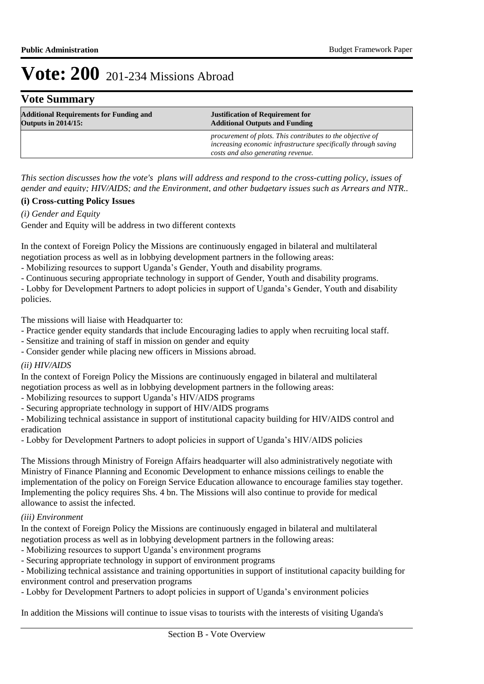## **Vote Summary**

| <b>Additional Requirements for Funding and</b> | <b>Justification of Requirement for</b>                                                                                                                            |  |
|------------------------------------------------|--------------------------------------------------------------------------------------------------------------------------------------------------------------------|--|
| <b>Outputs in 2014/15:</b>                     | <b>Additional Outputs and Funding</b>                                                                                                                              |  |
|                                                | procurement of plots. This contributes to the objective of<br>increasing economic infrastructure specifically through saving<br>costs and also generating revenue. |  |

*This section discusses how the vote's plans will address and respond to the cross-cutting policy, issues of gender and equity; HIV/AIDS; and the Environment, and other budgetary issues such as Arrears and NTR..* 

## **(i) Cross-cutting Policy Issues**

*(i) Gender and Equity*

Gender and Equity will be address in two different contexts

In the context of Foreign Policy the Missions are continuously engaged in bilateral and multilateral negotiation process as well as in lobbying development partners in the following areas:

- Mobilizing resources to support Uganda's Gender, Youth and disability programs.

- Continuous securing appropriate technology in support of Gender, Youth and disability programs.

- Lobby for Development Partners to adopt policies in support of Uganda's Gender, Youth and disability policies.

The missions will liaise with Headquarter to:

- Practice gender equity standards that include Encouraging ladies to apply when recruiting local staff.

- Sensitize and training of staff in mission on gender and equity

- Consider gender while placing new officers in Missions abroad.

## *(ii) HIV/AIDS*

In the context of Foreign Policy the Missions are continuously engaged in bilateral and multilateral negotiation process as well as in lobbying development partners in the following areas:

- Mobilizing resources to support Uganda's HIV/AIDS programs

- Securing appropriate technology in support of HIV/AIDS programs

- Mobilizing technical assistance in support of institutional capacity building for HIV/AIDS control and eradication

- Lobby for Development Partners to adopt policies in support of Uganda's HIV/AIDS policies

The Missions through Ministry of Foreign Affairs headquarter will also administratively negotiate with Ministry of Finance Planning and Economic Development to enhance missions ceilings to enable the implementation of the policy on Foreign Service Education allowance to encourage families stay together. Implementing the policy requires Shs. 4 bn. The Missions will also continue to provide for medical allowance to assist the infected.

## *(iii) Environment*

In the context of Foreign Policy the Missions are continuously engaged in bilateral and multilateral negotiation process as well as in lobbying development partners in the following areas:

- Mobilizing resources to support Uganda's environment programs

- Securing appropriate technology in support of environment programs

- Mobilizing technical assistance and training opportunities in support of institutional capacity building for

environment control and preservation programs

- Lobby for Development Partners to adopt policies in support of Uganda's environment policies

In addition the Missions will continue to issue visas to tourists with the interests of visiting Uganda's